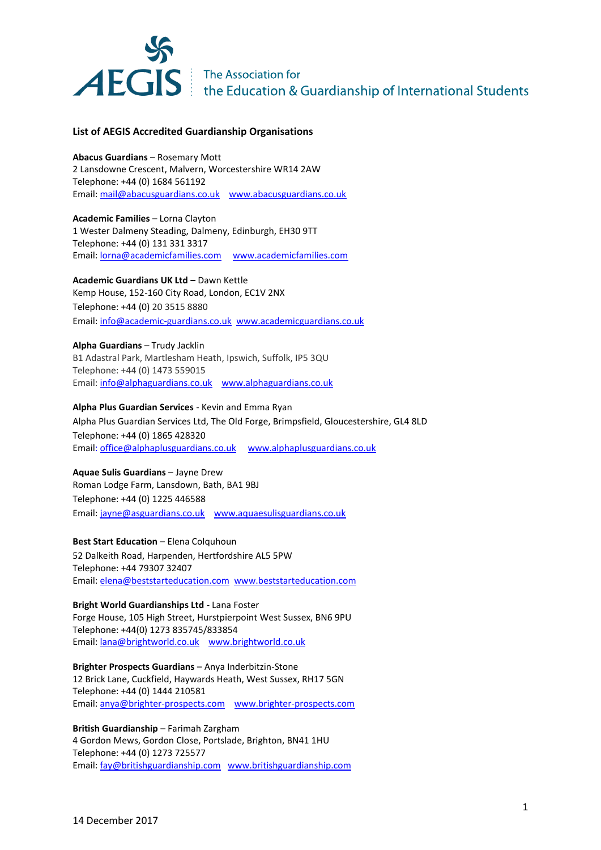

# **List of AEGIS Accredited Guardianship Organisations**

**Abacus Guardians** – Rosemary Mott 2 Lansdowne Crescent, Malvern, Worcestershire WR14 2AW Telephone: +44 (0) 1684 561192 Email: [mail@abacusguardians.co.uk](mailto:mail@abacusguardians.co.uk) [www.abacusguardians.co.uk](http://www.abacusguardians.co.uk/)

**Academic Families** – Lorna Clayton 1 Wester Dalmeny Steading, Dalmeny, Edinburgh, EH30 9TT Telephone: +44 (0) 131 331 3317 Email: [lorna@academicfamilies.com](mailto:lorna@academicfamilies.com) [www.academicfamilies.com](http://www.academicfamilies.com/)

**Academic Guardians UK Ltd –** Dawn Kettle Kemp House, 152-160 City Road, London, EC1V 2NX Telephone: +44 (0) 20 3515 8880 Email: [info@academic-guardians.co.uk](mailto:info@academic-guardians.co.uk) [www.academicguardians.co.uk](http://www.academicguardians.co.uk/)

## **Alpha Guardians** – Trudy Jacklin

B1 Adastral Park, Martlesham Heath, Ipswich, Suffolk, IP5 3QU Telephone: +44 (0) 1473 559015 Email: [info@alphaguardians.co.uk](mailto:info@alphaguardians.co.uk) [www.alphaguardians.co.uk](http://www.alphaguardians.co.uk/)

## **Alpha Plus Guardian Services** - Kevin and Emma Ryan

Alpha Plus Guardian Services Ltd, The Old Forge, Brimpsfield, Gloucestershire, GL4 8LD Telephone: +44 (0) 1865 428320 Email: [office@alphaplusguardians.co.uk](mailto:office@alphaplusguardians.co.uk) [www.alphaplusguardians.co.uk](http://www.alphaplusguardians.co.uk/)

### **Aquae Sulis Guardians** – Jayne Drew

Roman Lodge Farm, Lansdown, Bath, BA1 9BJ Telephone: +44 (0) 1225 446588 Email: [jayne@asguardians.co.uk](mailto:jayne@asguardians.co.uk) [www.aquaesulisguardians.co.uk](http://www.aquaesulisguardians.co.uk/)

### **Best Start Education** – Elena Colquhoun

52 Dalkeith Road, Harpenden, Hertfordshire AL5 5PW Telephone: +44 79307 32407 Email: [elena@beststarteducation.com](mailto:elena@beststarteducation.com) [www.beststarteducation.com](http://www.beststarteducation.com/)

**Bright World Guardianships Ltd** - Lana Foster Forge House, 105 High Street, Hurstpierpoint West Sussex, BN6 9PU Telephone: +44(0) 1273 835745/833854 Email: [lana@brightworld.co.uk](mailto:lana@brightworld.co.uk) [www.brightworld.co.uk](http://www.brightworld.co.uk/)

**Brighter Prospects Guardians** – Anya Inderbitzin-Stone 12 Brick Lane, Cuckfield, Haywards Heath, West Sussex, RH17 5GN Telephone: +44 (0) 1444 210581 Email: [anya@brighter-prospects.com](mailto:anya@brighter-prospects.com) [www.brighter-prospects.com](http://www.brighter-prospects.com/)

**British Guardianship** – Farimah Zargham 4 Gordon Mews, Gordon Close, Portslade, Brighton, BN41 1HU Telephone: +44 (0) 1273 725577 Email: [fay@britishguardianship.com](mailto:fay@britishguardianship.com) [www.britishguardianship.com](http://www.britishguardianship.com/)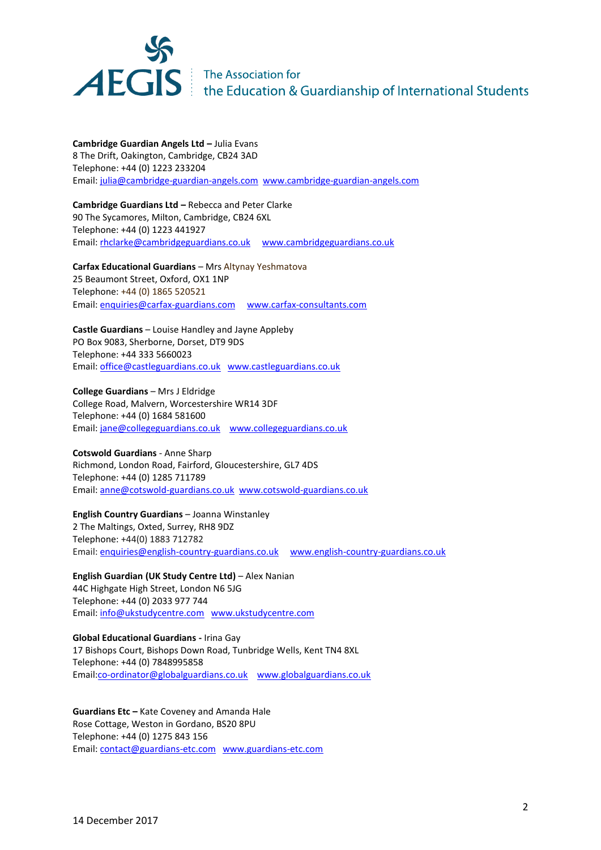

**Cambridge Guardian Angels Ltd –** Julia Evans 8 The Drift, Oakington, Cambridge, CB24 3AD Telephone: +44 (0) 1223 233204 Email: [julia@cambridge-guardian-angels.com](mailto:julia@cambridge-guardian-angels.com) [www.cambridge-guardian-angels.com](http://www.cambridge-guardian-angels.com/)

**Cambridge Guardians Ltd –** Rebecca and Peter Clarke 90 The Sycamores, Milton, Cambridge, CB24 6XL Telephone: +44 (0) 1223 441927 Email: [rhclarke@cambridgeguardians.co.uk](mailto:rhclarke@cambridgeguardians.co.uk) [www.cambridgeguardians.co.uk](http://www.cambridgeguardians.co.uk/)

**Carfax Educational Guardians** – Mrs Altynay Yeshmatova 25 Beaumont Street, Oxford, OX1 1NP Telephone: +44 (0) 1865 520521 Email: [enquiries@carfax-guardians.com](mailto:enquiries@carfax-guardians.com) [www.carfax-consultants.com](http://www.carfax-consultants.com/)

**Castle Guardians** – Louise Handley and Jayne Appleby PO Box 9083, Sherborne, Dorset, DT9 9DS Telephone: +44 333 5660023 Email: [office@castleguardians.co.uk](mailto:office@castleguardians.co.uk) [www.castleguardians.co.uk](http://www.castleguardians.co.uk/)

**College Guardians** – Mrs J Eldridge College Road, Malvern, Worcestershire WR14 3DF Telephone: +44 (0) 1684 581600 Email: [jane@collegeguardians.co.uk](mailto:jane@collegeguardians.co.uk) [www.collegeguardians.co.uk](http://www.collegeguardians.co.uk/)

**Cotswold Guardians** - Anne Sharp

Richmond, London Road, Fairford, Gloucestershire, GL7 4DS Telephone: +44 (0) 1285 711789 Email: [anne@cotswold-guardians.co.uk](mailto:anne@cotswold-guardians.co.uk) [www.cotswold-guardians.co.uk](http://www.cotswold-guardians.co.uk/)

**English Country Guardians** – Joanna Winstanley 2 The Maltings, Oxted, Surrey, RH8 9DZ Telephone: +44(0) 1883 712782 Email: [enquiries@english-country-guardians.co.uk](mailto:enquiries@english-country-guardians.co.uk) [www.english-country-guardians.co.uk](http://www.english-country-guardians.co.uk/)

**English Guardian (UK Study Centre Ltd)** – Alex Nanian 44C Highgate High Street, London N6 5JG Telephone: +44 (0) 2033 977 744 Email: [info@ukstudycentre.com](mailto:info@ukstudycentre.com) [www.ukstudycentre.com](http://www.ukstudycentre.com/)

**Global Educational Guardians -** Irina Gay 17 Bishops Court, Bishops Down Road, Tunbridge Wells, Kent TN4 8XL Telephone: +44 (0) 7848995858 Email[:co-ordinator@globalguardians.co.uk](mailto:co-ordinator@globalguardians.co.uk) [www.globalguardians.co.uk](http://www.globalguardians.co.uk/)

**Guardians Etc –** Kate Coveney and Amanda Hale Rose Cottage, Weston in Gordano, BS20 8PU Telephone: +44 (0) 1275 843 156 Email: [contact@guardians-etc.com](mailto:contact@guardians-etc.com) [www.guardians-etc.com](http://www.guardians-etc.com/)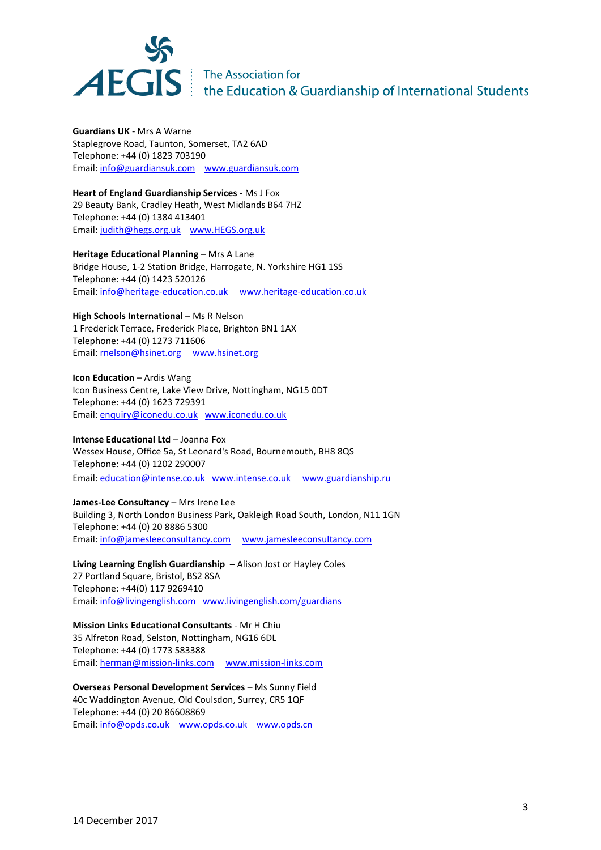

**Guardians UK** - Mrs A Warne Staplegrove Road, Taunton, Somerset, TA2 6AD Telephone: +44 (0) 1823 703190 Email: [info@guardiansuk.com](mailto:info@guardiansuk.com) [www.guardiansuk.com](http://www.guardiansuk.com/)

**Heart of England Guardianship Services** - Ms J Fox 29 Beauty Bank, Cradley Heath, West Midlands B64 7HZ Telephone: +44 (0) 1384 413401 Email: [judith@hegs.org.uk](mailto:judith@hegs.org.uk) [www.HEGS.org.uk](http://www.hegs.org.uk/)

**Heritage Educational Planning** – Mrs A Lane Bridge House, 1-2 Station Bridge, Harrogate, N. Yorkshire HG1 1SS Telephone: +44 (0) 1423 520126 Email: [info@heritage-education.co.uk](mailto:info@heritage-education.co.uk) [www.heritage-education.co.uk](http://www.heritage-education.co.uk/)

**High Schools International – Ms R Nelson** 1 Frederick Terrace, Frederick Place, Brighton BN1 1AX Telephone: +44 (0) 1273 711606 Email: [rnelson@hsinet.org](mailto:rnelson@hsinet.org) [www.hsinet.org](http://www.hsinet.org/)

**Icon Education** – Ardis Wang Icon Business Centre, Lake View Drive, Nottingham, NG15 0DT Telephone: +44 (0) 1623 729391 Email: [enquiry@iconedu.co.uk](mailto:enquiry@iconedu.co.uk) [www.iconedu.co.uk](http://www.iconedu.co.uk/)

**Intense Educational Ltd** – Joanna Fox Wessex House, Office 5a, St Leonard's Road, Bournemouth, BH8 8QS Telephone: [+44 \(0\) 1202 290007](file:///C:/Users/Yasemin/Desktop/desktop/Website/List%20of%20GOs/+44(0)1202%20290007) Email: [education@intense.co.uk](mailto:education@intense.co.uk) [www.intense.co.uk](http://www.intense.co.uk/) www.guardianship.ru

**James-Lee Consultancy** – Mrs Irene Lee Building 3, North London Business Park, Oakleigh Road South, London, N11 1GN Telephone: +44 (0) 20 8886 5300 Email: [info@jamesleeconsultancy.com](mailto:info@jamesleeconsultancy.com) [www.jamesleeconsultancy.com](http://www.jamesleeconsultancy.com/)

**Living Learning English Guardianship –** Alison Jost or Hayley Coles 27 Portland Square, Bristol, BS2 8SA Telephone: +44(0) 117 9269410 Email: [info@livingenglish.com](mailto:info@livingenglish.com) [www.livingenglish.com/guardians](http://www.livingenglish.com/guardians)

**Mission Links Educational Consultants** - Mr H Chiu 35 Alfreton Road, Selston, Nottingham, NG16 6DL Telephone: +44 (0) 1773 583388 Email: [herman@mission-links.com](mailto:herman@mission-links.com) [www.mission-links.com](http://www.mission-links.com/)

**Overseas Personal Development Services** – Ms Sunny Field 40c Waddington Avenue, Old Coulsdon, Surrey, CR5 1QF Telephone: +44 (0) 20 86608869 Email: [info@opds.co.uk](mailto:info@opds.co.uk) [www.opds.co.uk](http://www.opds.co.uk/) [www.opds.cn](http://www.opds.cn/)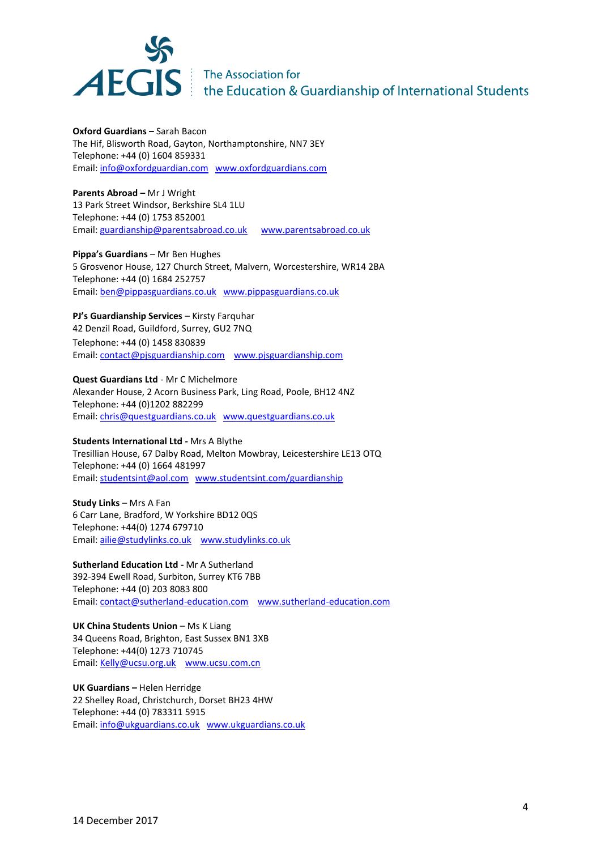

**Oxford Guardians –** Sarah Bacon The Hif, Blisworth Road, Gayton, Northamptonshire, NN7 3EY Telephone: +44 (0) 1604 859331 Email: [info@oxfordguardian.com](mailto:info@oxfordguardian.com) [www.oxfordguardians.com](http://www.oxfordguardians.com/)

**Parents Abroad –** Mr J Wright 13 Park Street Windsor, Berkshire SL4 1LU Telephone: +44 (0) 1753 852001 Email: [guardianship@parentsabroad.co.uk](mailto:guardianship@parentsabroad.co.uk) [www.parentsabroad.co.uk](http://www.parentsabroad.co.uk/)

**Pippa's Guardians** – Mr Ben Hughes 5 Grosvenor House, 127 Church Street, Malvern, Worcestershire, WR14 2BA Telephone: +44 (0) 1684 252757 Email: [ben@pippasguardians.co.uk](mailto:ben@pippasguardians.co.uk) [www.pippasguardians.co.uk](http://www.pippasguardians.co.uk/)

**PJ's Guardianship Services** – Kirsty Farquhar 42 Denzil Road, Guildford, Surrey, GU2 7NQ Telephone: +44 (0) 1458 830839 Email: [contact@pjsguardianship.com](mailto:contact@pjsguardianship.com) [www.pjsguardianship.com](http://www.pjsguardianship.com/)

**Quest Guardians Ltd** - Mr C Michelmore Alexander House, 2 Acorn Business Park, Ling Road, Poole, BH12 4NZ Telephone: +44 (0)1202 882299 Email: [chris@questguardians.co.uk](mailto:chris@questguardians.co.uk) [www.questguardians.co.uk](http://www.questguardians.co.uk/)

**Students International Ltd -** Mrs A Blythe Tresillian House, 67 Dalby Road, Melton Mowbray, Leicestershire LE13 OTQ Telephone: +44 (0) 166[4 481997](javascript:void(0)) Email: [studentsint@aol.com](mailto:studentsint@aol.com) [www.studentsint.com/guardianship](http://www.studentsint.com/guardianship)

**Study Links** – Mrs A Fan 6 Carr Lane, Bradford, W Yorkshire BD12 0QS Telephone: +44(0) 1274 679710 Email: [ailie@studylinks.co.uk](mailto:ailie@studylinks.co.uk) [www.studylinks.co.uk](http://www.studylinks.co.uk/)

**Sutherland Education Ltd -** Mr A Sutherland 392-394 Ewell Road, Surbiton, Surrey KT6 7BB Telephone: +44 (0) 203 8083 800 Email: [contact@sutherland-education.com](mailto:contact@sutherland-education.com) [www.sutherland-education.com](http://www.sutherland-education.com/)

**UK China Students Union - Ms K Liang** 34 Queens Road, Brighton, East Sussex BN1 3XB Telephone: +44(0) 1273 710745 Email: [Kelly@ucsu.org.uk](mailto:Kelly@ucsu.org.uk) [www.ucsu.com.cn](http://www.ucsu.com.cn/)

**UK Guardians –** Helen Herridge 22 Shelley Road, Christchurch, Dorset BH23 4HW Telephone: +44 (0) 783311 5915 Email: [info@ukguardians.co.uk](mailto:info@ukguardians.co.uk) [www.ukguardians.co.uk](http://www.ukguardians.co.uk/)